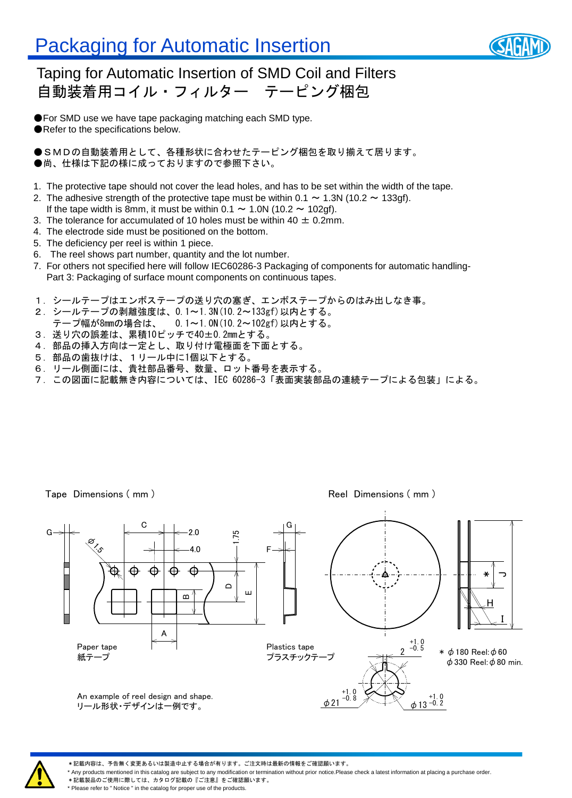

#### Taping for Automatic Insertion of SMD Coil and Filters 自動装着用コイル・フィルター テーピング梱包

●For SMD use we have tape packaging matching each SMD type. ●Refer to the specifications below.

●SMDの自動装着用として、各種形状に合わせたテーピング梱包を取り揃えて居ります。 ●尚、仕様は下記の様に成っておりますので参照下さい。

- 1. The protective tape should not cover the lead holes, and has to be set within the width of the tape.
- 2. The adhesive strength of the protective tape must be within  $0.1 \sim 1.3$ N (10.2  $\sim$  133gf).
- If the tape width is 8mm, it must be within 0.1  $\sim$  1.0N (10.2  $\sim$  102gf).
- 3. The tolerance for accumulated of 10 holes must be within 40  $\pm$  0.2mm.
- 4. The electrode side must be positioned on the bottom.
- 5. The deficiency per reel is within 1 piece.
- 6. The reel shows part number, quantity and the lot number.
- 7. For others not specified here will follow IEC60286-3 Packaging of components for automatic handling-Part 3: Packaging of surface mount components on continuous tapes.
- 1.シールテープはエンボステープの送り穴の塞ぎ、エンボステープからのはみ出しなき事。
- 2.シールテープの剥離強度は、0.1~1.3N(10.2~133gf)以内とする。
- テープ幅が8mmの場合は、 0.1~1.0N(10.2~102gf)以内とする。
- 3.送り穴の誤差は、累積10ピッチで40±0.2mmとする。
- 4.部品の挿入方向は一定とし、取り付け電極面を下面とする。
- 5.部品の歯抜けは、1リール中に1個以下とする。
- 6.リール側面には、貴社部品番号、数量、ロット番号を表示する。
- 7.この図面に記載無き内容については、IEC 60286-3「表面実装部品の連続テープによる包装」による。

Tape Dimensions (mm) and the state of the Reel Dimensions (mm)





\*記載内容は、予告無く変更あるいは製造中止する場合が有ります。ご注文時は最新の情報をご確認願います。

\* Any products mentioned in this catalog are subject to any modification or termination without prior notice.Please check a latest information at placing a purchase order.

\*記載製品のご使用に際しては、カタログ記載の『ご注意』をご確認願います。 \* Please refer to " Notice " in the catalog for proper use of the products.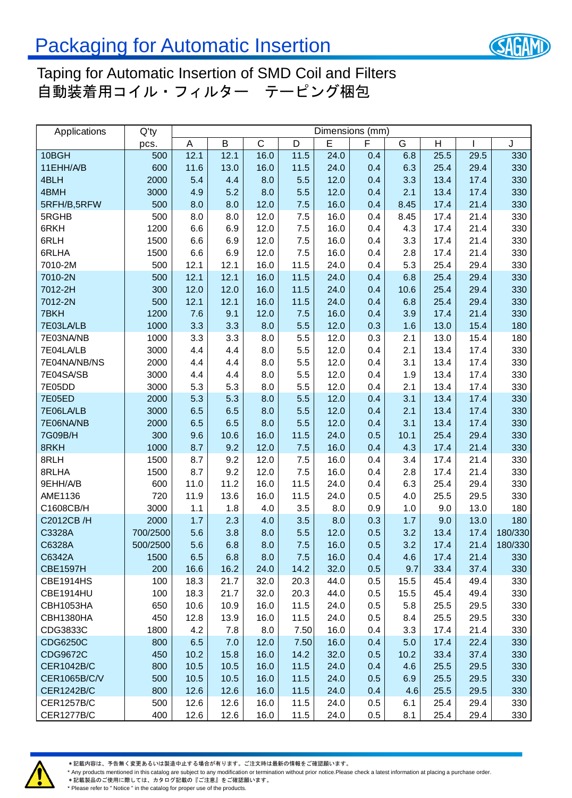

### Taping for Automatic Insertion of SMD Coil and Filters 自動装着用コイル・フィルター テーピング梱包

| Applications      | $Q'$ ty  | Dimensions (mm) |      |              |      |      |     |      |                |      |         |
|-------------------|----------|-----------------|------|--------------|------|------|-----|------|----------------|------|---------|
|                   | pcs.     | Α               | B    | $\mathsf{C}$ | D    | E    | F   | G    | $\overline{H}$ |      | J       |
| 10BGH             | 500      | 12.1            | 12.1 | 16.0         | 11.5 | 24.0 | 0.4 | 6.8  | 25.5           | 29.5 | 330     |
| 11EHH/A/B         | 600      | 11.6            | 13.0 | 16.0         | 11.5 | 24.0 | 0.4 | 6.3  | 25.4           | 29.4 | 330     |
| 4BLH              | 2000     | 5.4             | 4.4  | 8.0          | 5.5  | 12.0 | 0.4 | 3.3  | 13.4           | 17.4 | 330     |
| 4BMH              | 3000     | 4.9             | 5.2  | 8.0          | 5.5  | 12.0 | 0.4 | 2.1  | 13.4           | 17.4 | 330     |
| 5RFH/B,5RFW       | 500      | 8.0             | 8.0  | 12.0         | 7.5  | 16.0 | 0.4 | 8.45 | 17.4           | 21.4 | 330     |
| 5RGHB             | 500      | 8.0             | 8.0  | 12.0         | 7.5  | 16.0 | 0.4 | 8.45 | 17.4           | 21.4 | 330     |
| 6RKH              | 1200     | 6.6             | 6.9  | 12.0         | 7.5  | 16.0 | 0.4 | 4.3  | 17.4           | 21.4 | 330     |
| 6RLH              | 1500     | 6.6             | 6.9  | 12.0         | 7.5  | 16.0 | 0.4 | 3.3  | 17.4           | 21.4 | 330     |
| 6RLHA             | 1500     | 6.6             | 6.9  | 12.0         | 7.5  | 16.0 | 0.4 | 2.8  | 17.4           | 21.4 | 330     |
| 7010-2M           | 500      | 12.1            | 12.1 | 16.0         | 11.5 | 24.0 | 0.4 | 5.3  | 25.4           | 29.4 | 330     |
| 7010-2N           | 500      | 12.1            | 12.1 | 16.0         | 11.5 | 24.0 | 0.4 | 6.8  | 25.4           | 29.4 | 330     |
| 7012-2H           | 300      | 12.0            | 12.0 | 16.0         | 11.5 | 24.0 | 0.4 | 10.6 | 25.4           | 29.4 | 330     |
| 7012-2N           | 500      | 12.1            | 12.1 | 16.0         | 11.5 | 24.0 | 0.4 | 6.8  | 25.4           | 29.4 | 330     |
| 7BKH              | 1200     | 7.6             | 9.1  | 12.0         | 7.5  | 16.0 | 0.4 | 3.9  | 17.4           | 21.4 | 330     |
| 7E03LA/LB         | 1000     | 3.3             | 3.3  | 8.0          | 5.5  | 12.0 | 0.3 | 1.6  | 13.0           | 15.4 | 180     |
| 7E03NA/NB         | 1000     | 3.3             | 3.3  | 8.0          | 5.5  | 12.0 | 0.3 | 2.1  | 13.0           | 15.4 | 180     |
| 7E04LA/LB         | 3000     | 4.4             | 4.4  | 8.0          | 5.5  | 12.0 | 0.4 | 2.1  | 13.4           | 17.4 | 330     |
| 7E04NA/NB/NS      | 2000     | 4.4             | 4.4  | 8.0          | 5.5  | 12.0 | 0.4 | 3.1  | 13.4           | 17.4 | 330     |
| 7E04SA/SB         | 3000     | 4.4             | 4.4  | 8.0          | 5.5  | 12.0 | 0.4 | 1.9  | 13.4           | 17.4 | 330     |
| 7E05DD            | 3000     | 5.3             | 5.3  | 8.0          | 5.5  | 12.0 | 0.4 | 2.1  | 13.4           | 17.4 | 330     |
| <b>7E05ED</b>     | 2000     | 5.3             | 5.3  | 8.0          | 5.5  | 12.0 | 0.4 | 3.1  | 13.4           | 17.4 | 330     |
| 7E06LA/LB         | 3000     | 6.5             | 6.5  | 8.0          | 5.5  | 12.0 | 0.4 | 2.1  | 13.4           | 17.4 | 330     |
| 7E06NA/NB         | 2000     | 6.5             | 6.5  | 8.0          | 5.5  | 12.0 | 0.4 | 3.1  | 13.4           | 17.4 | 330     |
| 7G09B/H           | 300      | 9.6             | 10.6 | 16.0         | 11.5 | 24.0 | 0.5 | 10.1 | 25.4           | 29.4 | 330     |
| 8RKH              | 1000     | 8.7             | 9.2  | 12.0         | 7.5  | 16.0 | 0.4 | 4.3  | 17.4           | 21.4 | 330     |
| 8RLH              | 1500     | 8.7             | 9.2  | 12.0         | 7.5  | 16.0 | 0.4 | 3.4  | 17.4           | 21.4 | 330     |
| 8RLHA             | 1500     | 8.7             | 9.2  | 12.0         | 7.5  | 16.0 | 0.4 | 2.8  | 17.4           | 21.4 | 330     |
| 9EHH/A/B          | 600      | 11.0            | 11.2 | 16.0         | 11.5 | 24.0 | 0.4 | 6.3  | 25.4           | 29.4 | 330     |
| AME1136           | 720      | 11.9            | 13.6 | 16.0         | 11.5 | 24.0 | 0.5 | 4.0  | 25.5           | 29.5 | 330     |
| C1608CB/H         | 3000     | 1.1             | 1.8  | 4.0          | 3.5  | 8.0  | 0.9 | 1.0  | 9.0            | 13.0 | 180     |
| C2012CB/H         | 2000     | 1.7             | 2.3  | 4.0          | 3.5  | 8.0  | 0.3 | 1.7  | 9.0            | 13.0 | 180     |
| C3328A            | 700/2500 | 5.6             | 3.8  | 8.0          | 5.5  | 12.0 | 0.5 | 3.2  | 13.4           | 17.4 | 180/330 |
| C6328A            | 500/2500 | 5.6             | 6.8  | 8.0          | 7.5  | 16.0 | 0.5 | 3.2  | 17.4           | 21.4 | 180/330 |
| C6342A            | 1500     | 6.5             | 6.8  | 8.0          | 7.5  | 16.0 | 0.4 | 4.6  | 17.4           | 21.4 | 330     |
| <b>CBE1597H</b>   | 200      | 16.6            | 16.2 | 24.0         | 14.2 | 32.0 | 0.5 | 9.7  | 33.4           | 37.4 | 330     |
| <b>CBE1914HS</b>  | 100      | 18.3            | 21.7 | 32.0         | 20.3 | 44.0 | 0.5 | 15.5 | 45.4           | 49.4 | 330     |
| CBE1914HU         | 100      | 18.3            | 21.7 | 32.0         | 20.3 | 44.0 | 0.5 | 15.5 | 45.4           | 49.4 | 330     |
| CBH1053HA         | 650      | 10.6            | 10.9 | 16.0         | 11.5 | 24.0 | 0.5 | 5.8  | 25.5           | 29.5 | 330     |
| CBH1380HA         | 450      | 12.8            | 13.9 | 16.0         | 11.5 | 24.0 | 0.5 | 8.4  | 25.5           | 29.5 | 330     |
| CDG3833C          | 1800     | 4.2             | 7.8  | 8.0          | 7.50 | 16.0 | 0.4 | 3.3  | 17.4           | 21.4 | 330     |
| <b>CDG6250C</b>   | 800      | 6.5             | 7.0  | 12.0         | 7.50 | 16.0 | 0.4 | 5.0  | 17.4           | 22.4 | 330     |
| <b>CDG9672C</b>   | 450      | 10.2            | 15.8 | 16.0         | 14.2 | 32.0 | 0.5 | 10.2 | 33.4           | 37.4 | 330     |
| <b>CER1042B/C</b> | 800      | 10.5            | 10.5 | 16.0         | 11.5 | 24.0 | 0.4 | 4.6  | 25.5           | 29.5 | 330     |
| CER1065B/C/V      | 500      | 10.5            | 10.5 | 16.0         | 11.5 | 24.0 | 0.5 | 6.9  | 25.5           | 29.5 | 330     |
| <b>CER1242B/C</b> | 800      | 12.6            | 12.6 | 16.0         | 11.5 | 24.0 | 0.4 | 4.6  | 25.5           | 29.5 | 330     |
| <b>CER1257B/C</b> | 500      | 12.6            | 12.6 | 16.0         | 11.5 | 24.0 | 0.5 | 6.1  | 25.4           | 29.4 | 330     |
| <b>CER1277B/C</b> | 400      | 12.6            | 12.6 | 16.0         | 11.5 | 24.0 | 0.5 | 8.1  | 25.4           | 29.4 | 330     |

\*記載内容は、予告無く変更あるいは製造中止する場合が有ります。ご注文時は最新の情報をご確認願います。

\* Any products mentioned in this catalog are subject to any modification or termination without prior notice.Please check a latest information at placing a purchase order.

**★記載製品のご使用に際しては、カタログ記載の『ご注意』をご確認願います。** \* Please refer to " Notice " in the catalog for proper use of the products.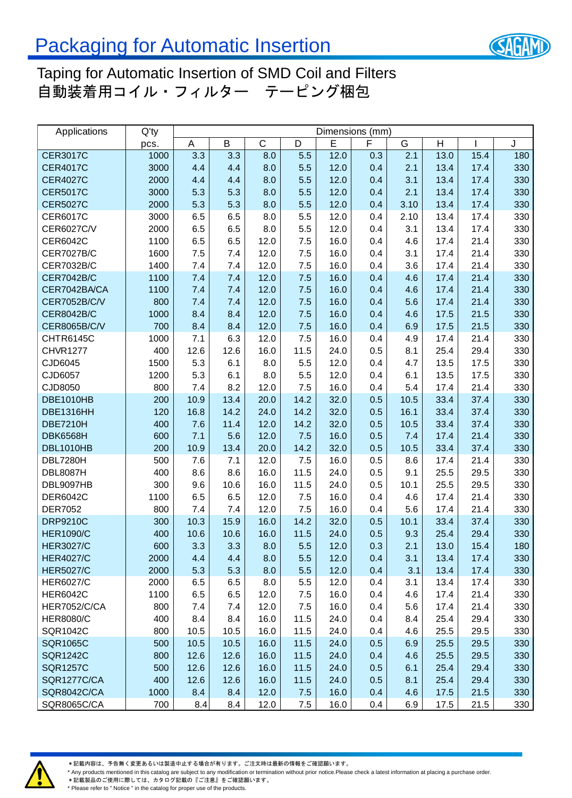

### Taping for Automatic Insertion of SMD Coil and Filters 自動装着用コイル・フィルター テーピング梱包

| Applications        | $Q'$ ty | Dimensions (mm) |      |             |      |      |     |      |      |      |     |
|---------------------|---------|-----------------|------|-------------|------|------|-----|------|------|------|-----|
|                     | pcs.    | Α               | B    | $\mathsf C$ | D    | E    | F   | G    | H    |      | J   |
| <b>CER3017C</b>     | 1000    | 3.3             | 3.3  | 8.0         | 5.5  | 12.0 | 0.3 | 2.1  | 13.0 | 15.4 | 180 |
| <b>CER4017C</b>     | 3000    | 4.4             | 4.4  | 8.0         | 5.5  | 12.0 | 0.4 | 2.1  | 13.4 | 17.4 | 330 |
| <b>CER4027C</b>     | 2000    | 4.4             | 4.4  | 8.0         | 5.5  | 12.0 | 0.4 | 3.1  | 13.4 | 17.4 | 330 |
| <b>CER5017C</b>     | 3000    | 5.3             | 5.3  | 8.0         | 5.5  | 12.0 | 0.4 | 2.1  | 13.4 | 17.4 | 330 |
| <b>CER5027C</b>     | 2000    | 5.3             | 5.3  | 8.0         | 5.5  | 12.0 | 0.4 | 3.10 | 13.4 | 17.4 | 330 |
| CER6017C            | 3000    | 6.5             | 6.5  | 8.0         | 5.5  | 12.0 | 0.4 | 2.10 | 13.4 | 17.4 | 330 |
| CER6027C/V          | 2000    | 6.5             | 6.5  | 8.0         | 5.5  | 12.0 | 0.4 | 3.1  | 13.4 | 17.4 | 330 |
| CER6042C            | 1100    | 6.5             | 6.5  | 12.0        | 7.5  | 16.0 | 0.4 | 4.6  | 17.4 | 21.4 | 330 |
| <b>CER7027B/C</b>   | 1600    | 7.5             | 7.4  | 12.0        | 7.5  | 16.0 | 0.4 | 3.1  | 17.4 | 21.4 | 330 |
| <b>CER7032B/C</b>   | 1400    | 7.4             | 7.4  | 12.0        | 7.5  | 16.0 | 0.4 | 3.6  | 17.4 | 21.4 | 330 |
| <b>CER7042B/C</b>   | 1100    | 7.4             | 7.4  | 12.0        | 7.5  | 16.0 | 0.4 | 4.6  | 17.4 | 21.4 | 330 |
| CER7042BA/CA        | 1100    | 7.4             | 7.4  | 12.0        | 7.5  | 16.0 | 0.4 | 4.6  | 17.4 | 21.4 | 330 |
| <b>CER7052B/C/V</b> | 800     | 7.4             | 7.4  | 12.0        | 7.5  | 16.0 | 0.4 | 5.6  | 17.4 | 21.4 | 330 |
| <b>CER8042B/C</b>   | 1000    | 8.4             | 8.4  | 12.0        | 7.5  | 16.0 | 0.4 | 4.6  | 17.5 | 21.5 | 330 |
| <b>CER8065B/C/V</b> | 700     | 8.4             | 8.4  | 12.0        | 7.5  | 16.0 | 0.4 | 6.9  | 17.5 | 21.5 | 330 |
| CHTR6145C           | 1000    | 7.1             | 6.3  | 12.0        | 7.5  | 16.0 | 0.4 | 4.9  | 17.4 | 21.4 | 330 |
| <b>CHVR1277</b>     | 400     | 12.6            | 12.6 | 16.0        | 11.5 | 24.0 | 0.5 | 8.1  | 25.4 | 29.4 | 330 |
| CJD6045             | 1500    | 5.3             | 6.1  | 8.0         | 5.5  | 12.0 | 0.4 | 4.7  | 13.5 | 17.5 | 330 |
| CJD6057             | 1200    | 5.3             | 6.1  | 8.0         | 5.5  | 12.0 | 0.4 | 6.1  | 13.5 | 17.5 | 330 |
| CJD8050             | 800     | 7.4             | 8.2  | 12.0        | 7.5  | 16.0 | 0.4 | 5.4  | 17.4 | 21.4 | 330 |
| <b>DBE1010HB</b>    | 200     | 10.9            | 13.4 | 20.0        | 14.2 | 32.0 | 0.5 | 10.5 | 33.4 | 37.4 | 330 |
| DBE1316HH           | 120     | 16.8            | 14.2 | 24.0        | 14.2 | 32.0 | 0.5 | 16.1 | 33.4 | 37.4 | 330 |
| <b>DBE7210H</b>     | 400     | 7.6             | 11.4 | 12.0        | 14.2 | 32.0 | 0.5 | 10.5 | 33.4 | 37.4 | 330 |
| <b>DBK6568H</b>     | 600     | 7.1             | 5.6  | 12.0        | 7.5  | 16.0 | 0.5 | 7.4  | 17.4 | 21.4 | 330 |
| DBL1010HB           | 200     | 10.9            | 13.4 | 20.0        | 14.2 | 32.0 | 0.5 | 10.5 | 33.4 | 37.4 | 330 |
| DBL7280H            | 500     | 7.6             | 7.1  | 12.0        | 7.5  | 16.0 | 0.5 | 8.6  | 17.4 | 21.4 | 330 |
| <b>DBL8087H</b>     | 400     | 8.6             | 8.6  | 16.0        | 11.5 | 24.0 | 0.5 | 9.1  | 25.5 | 29.5 | 330 |
| DBL9097HB           | 300     | 9.6             | 10.6 | 16.0        | 11.5 | 24.0 | 0.5 | 10.1 | 25.5 | 29.5 | 330 |
| <b>DER6042C</b>     | 1100    | 6.5             | 6.5  | 12.0        | 7.5  | 16.0 | 0.4 | 4.6  | 17.4 | 21.4 | 330 |
| <b>DER7052</b>      | 800     | 7.4             | 7.4  | 12.0        | 7.5  | 16.0 | 0.4 | 5.6  | 17.4 | 21.4 | 330 |
| <b>DRP9210C</b>     | 300     | 10.3            | 15.9 | 16.0        | 14.2 | 32.0 | 0.5 | 10.1 | 33.4 | 37.4 | 330 |
| <b>HER1090/C</b>    | 400     | 10.6            | 10.6 | 16.0        | 11.5 | 24.0 | 0.5 | 9.3  | 25.4 | 29.4 | 330 |
| <b>HER3027/C</b>    | 600     | 3.3             | 3.3  | 8.0         | 5.5  | 12.0 | 0.3 | 2.1  | 13.0 | 15.4 | 180 |
| <b>HER4027/C</b>    | 2000    | 4.4             | 4.4  | 8.0         | 5.5  | 12.0 | 0.4 | 3.1  | 13.4 | 17.4 | 330 |
| <b>HER5027/C</b>    | 2000    | 5.3             | 5.3  | 8.0         | 5.5  | 12.0 | 0.4 | 3.1  | 13.4 | 17.4 | 330 |
| <b>HER6027/C</b>    | 2000    | 6.5             | 6.5  | 8.0         | 5.5  | 12.0 | 0.4 | 3.1  | 13.4 | 17.4 | 330 |
| <b>HER6042C</b>     | 1100    | 6.5             | 6.5  | 12.0        | 7.5  | 16.0 | 0.4 | 4.6  | 17.4 | 21.4 | 330 |
| <b>HER7052/C/CA</b> | 800     | 7.4             | 7.4  | 12.0        | 7.5  | 16.0 | 0.4 | 5.6  | 17.4 | 21.4 | 330 |
| <b>HER8080/C</b>    | 400     | 8.4             | 8.4  | 16.0        | 11.5 | 24.0 | 0.4 | 8.4  | 25.4 | 29.4 | 330 |
| SQR1042C            | 800     | 10.5            | 10.5 | 16.0        | 11.5 | 24.0 | 0.4 | 4.6  | 25.5 | 29.5 | 330 |
| <b>SQR1065C</b>     | 500     | 10.5            | 10.5 | 16.0        | 11.5 | 24.0 | 0.5 | 6.9  | 25.5 | 29.5 | 330 |
| <b>SQR1242C</b>     | 800     | 12.6            | 12.6 | 16.0        | 11.5 | 24.0 | 0.4 | 4.6  | 25.5 | 29.5 | 330 |
| <b>SQR1257C</b>     | 500     | 12.6            | 12.6 | 16.0        | 11.5 | 24.0 | 0.5 | 6.1  | 25.4 | 29.4 | 330 |
| <b>SQR1277C/CA</b>  | 400     | 12.6            | 12.6 | 16.0        | 11.5 | 24.0 | 0.5 | 8.1  | 25.4 | 29.4 | 330 |
| <b>SQR8042C/CA</b>  | 1000    | 8.4             | 8.4  | 12.0        | 7.5  | 16.0 | 0.4 | 4.6  | 17.5 | 21.5 | 330 |
| SQR8065C/CA         | 700     | 8.4             | 8.4  | 12.0        | 7.5  | 16.0 | 0.4 | 6.9  | 17.5 | 21.5 | 330 |



\*記載内容は、予告無く変更あるいは製造中止する場合が有ります。ご注文時は最新の情報をご確認願います。

\* Any products mentioned in this catalog are subject to any modification or termination without prior notice.Please check a latest information at placing a purchase order.

**★記載製品のご使用に際しては、カタログ記載の『ご注意』をご確認願います。** \* Please refer to " Notice " in the catalog for proper use of the products.